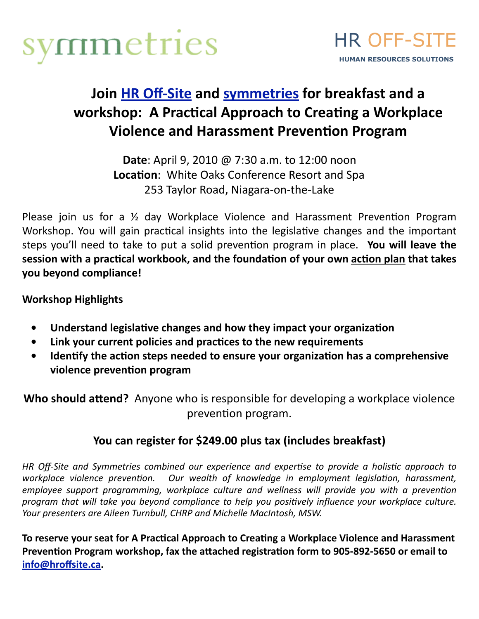



## Join **HR Off-Site** and **[symmetries](http://www.symmetries.ca/)** for breakfast and a workshop: A Practical Approach to Creating a Workplace **Violence and Harassment Prevention Program**

**Date**: April 9, 2010 @ 7:30 a.m. to 12:00 noon Location: White Oaks Conference Resort and Spa 253
Taylor
Road,
Niagara‐on‐the‐Lake

Please join us for a 1/<sub>2</sub> day Workplace Violence and Harassment Prevention Program Workshop. You will gain practical insights into the legislative changes and the important steps you'll need to take to put a solid prevention program in place. You will leave the session with a practical workbook, and the foundation of your own action plan that takes **you
beyond
compliance!**

**Workshop
Highlights**

- Understand legislative changes and how they impact your organization
- Link your current policies and practices to the new requirements
- Identify the action steps needed to ensure your organization has a comprehensive violence prevention program

Who should attend? Anyone who is responsible for developing a workplace violence prevention program.

## You can register for \$249.00 plus tax (includes breakfast)

HR Off-Site and Symmetries combined our experience and expertise to provide a holistic approach to workplace violence prevention. Our wealth of knowledge in employment legislation, harassment, employee support programming, workplace culture and wellness will provide you with a prevention program that will take you beyond compliance to help you positively influence your workplace culture. Your presenters are Aileen Turnbull, CHRP and Michelle MacIntosh, MSW.

To reserve your seat for A Practical Approach to Creating a Workplace Violence and Harassment Prevention Program workshop, fax the attached registration form to 905-892-5650 or email to **[info@hroffsite.ca.](mailto:info@hroffsite.ca)**